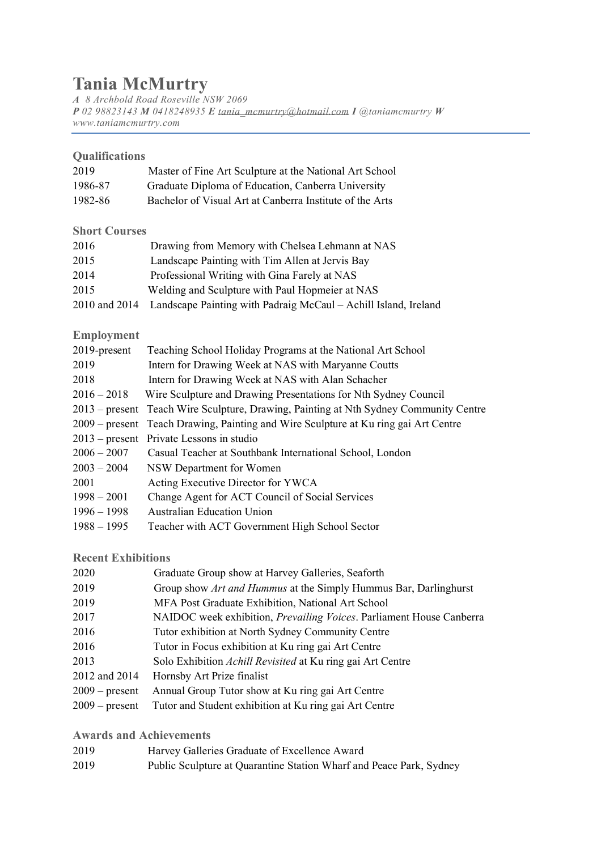## **Tania McMurtry**

*A 8 Archbold Road Roseville NSW 2069 P 02 98823143 M 0418248935 E [tania\\_mcmurtry@hotmail.com](mailto:tania_mcmurtry@hotmail.com) I @taniamcmurtry W www.taniamcmurtry.com*

| Qualifications       |                                                                        |
|----------------------|------------------------------------------------------------------------|
| 2019                 | Master of Fine Art Sculpture at the National Art School                |
| 1986-87              | Graduate Diploma of Education, Canberra University                     |
| 1982-86              | Bachelor of Visual Art at Canberra Institute of the Arts               |
| <b>Short Courses</b> |                                                                        |
| 2016                 | Drawing from Memory with Chelsea Lehmann at NAS                        |
| 2015                 | Landscape Painting with Tim Allen at Jervis Bay                        |
| 2014                 | Professional Writing with Gina Farely at NAS                           |
| 2015                 | Welding and Sculpture with Paul Hopmeier at NAS                        |
| 2010 and 2014        | Landscape Painting with Padraig McCaul - Achill Island, Ireland        |
| <b>Employment</b>    |                                                                        |
| 2019-present         | Teaching School Holiday Programs at the National Art School            |
| 2019                 | Intern for Drawing Week at NAS with Maryanne Coutts                    |
| 2018                 | Intern for Drawing Week at NAS with Alan Schacher                      |
| $2016 - 2018$        | Wire Sculpture and Drawing Presentations for Nth Sydney Council        |
| $2013$ – present     | Teach Wire Sculpture, Drawing, Painting at Nth Sydney Community Centre |
| $2009$ – present     | Teach Drawing, Painting and Wire Sculpture at Ku ring gai Art Centre   |
| $2013$ – present     | Private Lessons in studio                                              |
| $2006 - 2007$        | Casual Teacher at Southbank International School, London               |
| $2003 - 2004$        | NSW Department for Women                                               |
| 2001                 | Acting Executive Director for YWCA                                     |
| $1998 - 2001$        | Change Agent for ACT Council of Social Services                        |
| $1996 - 1998$        | <b>Australian Education Union</b>                                      |
| $1988 - 1995$        | Teacher with ACT Government High School Sector                         |

## **Recent Exhibitions**

| 2020             | Graduate Group show at Harvey Galleries, Seaforth                    |
|------------------|----------------------------------------------------------------------|
| 2019             | Group show Art and Hummus at the Simply Hummus Bar, Darlinghurst     |
| 2019             | MFA Post Graduate Exhibition, National Art School                    |
| 2017             | NAIDOC week exhibition, Prevailing Voices. Parliament House Canberra |
| 2016             | Tutor exhibition at North Sydney Community Centre                    |
| 2016             | Tutor in Focus exhibition at Ku ring gai Art Centre                  |
| 2013             | Solo Exhibition Achill Revisited at Ku ring gai Art Centre           |
| 2012 and 2014    | Hornsby Art Prize finalist                                           |
| $2009$ – present | Annual Group Tutor show at Ku ring gai Art Centre                    |
| $2009$ – present | Tutor and Student exhibition at Ku ring gai Art Centre               |

**Awards and Achievements**

| 2019<br>Harvey Galleries Graduate of Excellence Award |  |
|-------------------------------------------------------|--|
|-------------------------------------------------------|--|

2019 Public Sculpture at Quarantine Station Wharf and Peace Park, Sydney